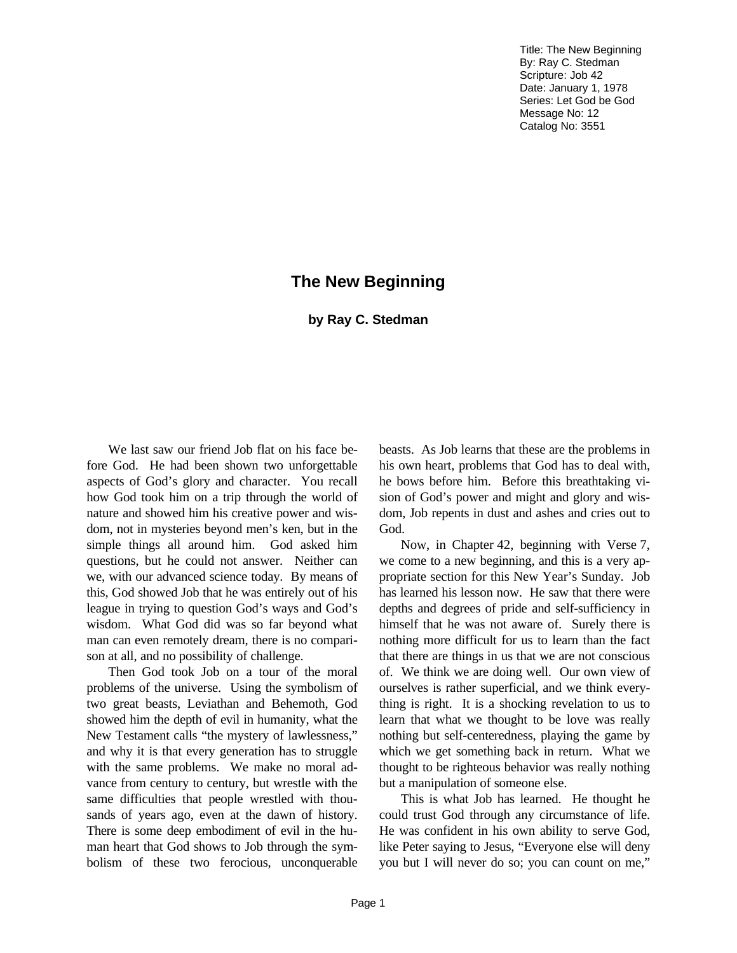Title: The New Beginning By: Ray C. Stedman Scripture: Job 42 Date: January 1, 1978 Series: Let God be God Message No: 12 Catalog No: 3551

## **The New Beginning**

## **by Ray C. Stedman**

We last saw our friend Job flat on his face before God. He had been shown two unforgettable aspects of God's glory and character. You recall how God took him on a trip through the world of nature and showed him his creative power and wisdom, not in mysteries beyond men's ken, but in the simple things all around him. God asked him questions, but he could not answer. Neither can we, with our advanced science today. By means of this, God showed Job that he was entirely out of his league in trying to question God's ways and God's wisdom. What God did was so far beyond what man can even remotely dream, there is no comparison at all, and no possibility of challenge.

Then God took Job on a tour of the moral problems of the universe. Using the symbolism of two great beasts, Leviathan and Behemoth, God showed him the depth of evil in humanity, what the New Testament calls "the mystery of lawlessness," and why it is that every generation has to struggle with the same problems. We make no moral advance from century to century, but wrestle with the same difficulties that people wrestled with thousands of years ago, even at the dawn of history. There is some deep embodiment of evil in the human heart that God shows to Job through the symbolism of these two ferocious, unconquerable

beasts. As Job learns that these are the problems in his own heart, problems that God has to deal with, he bows before him. Before this breathtaking vision of God's power and might and glory and wisdom, Job repents in dust and ashes and cries out to God.

Now, in Chapter 42, beginning with Verse 7, we come to a new beginning, and this is a very appropriate section for this New Year's Sunday. Job has learned his lesson now. He saw that there were depths and degrees of pride and self-sufficiency in himself that he was not aware of. Surely there is nothing more difficult for us to learn than the fact that there are things in us that we are not conscious of. We think we are doing well. Our own view of ourselves is rather superficial, and we think everything is right. It is a shocking revelation to us to learn that what we thought to be love was really nothing but self-centeredness, playing the game by which we get something back in return. What we thought to be righteous behavior was really nothing but a manipulation of someone else.

This is what Job has learned. He thought he could trust God through any circumstance of life. He was confident in his own ability to serve God, like Peter saying to Jesus, "Everyone else will deny you but I will never do so; you can count on me,"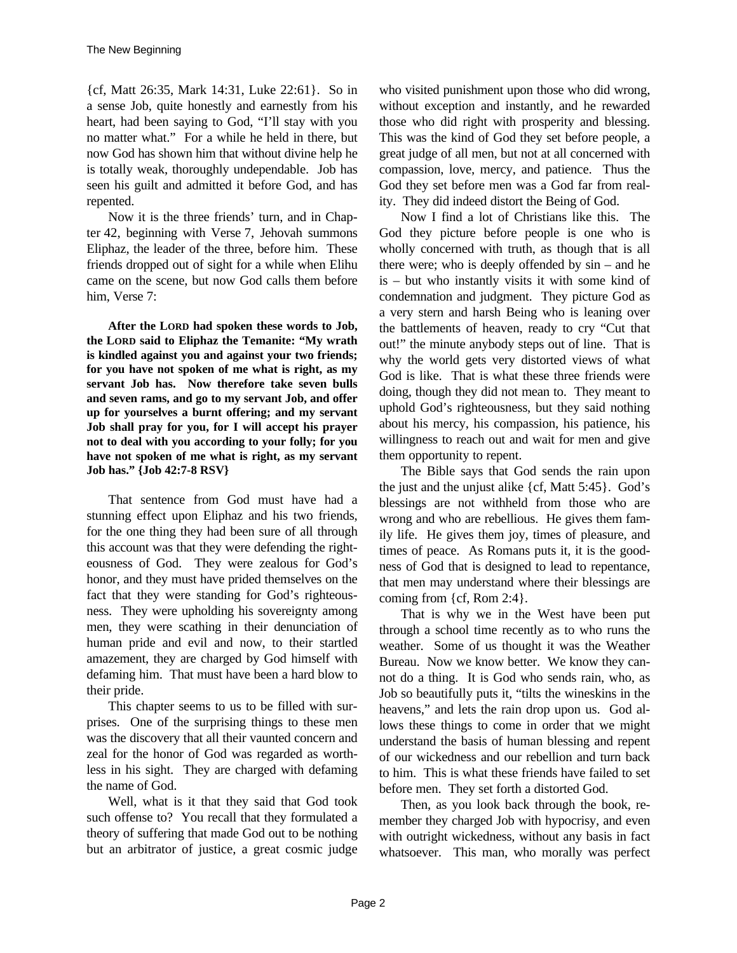{cf, Matt 26:35, Mark 14:31, Luke 22:61}. So in a sense Job, quite honestly and earnestly from his heart, had been saying to God, "I'll stay with you no matter what." For a while he held in there, but now God has shown him that without divine help he is totally weak, thoroughly undependable. Job has seen his guilt and admitted it before God, and has repented.

Now it is the three friends' turn, and in Chapter 42, beginning with Verse 7, Jehovah summons Eliphaz, the leader of the three, before him. These friends dropped out of sight for a while when Elihu came on the scene, but now God calls them before him, Verse 7:

**After the LORD had spoken these words to Job, the LORD said to Eliphaz the Temanite: "My wrath is kindled against you and against your two friends; for you have not spoken of me what is right, as my servant Job has. Now therefore take seven bulls and seven rams, and go to my servant Job, and offer up for yourselves a burnt offering; and my servant Job shall pray for you, for I will accept his prayer not to deal with you according to your folly; for you have not spoken of me what is right, as my servant Job has." {Job 42:7-8 RSV}**

That sentence from God must have had a stunning effect upon Eliphaz and his two friends, for the one thing they had been sure of all through this account was that they were defending the righteousness of God. They were zealous for God's honor, and they must have prided themselves on the fact that they were standing for God's righteousness. They were upholding his sovereignty among men, they were scathing in their denunciation of human pride and evil and now, to their startled amazement, they are charged by God himself with defaming him. That must have been a hard blow to their pride.

This chapter seems to us to be filled with surprises. One of the surprising things to these men was the discovery that all their vaunted concern and zeal for the honor of God was regarded as worthless in his sight. They are charged with defaming the name of God.

Well, what is it that they said that God took such offense to? You recall that they formulated a theory of suffering that made God out to be nothing but an arbitrator of justice, a great cosmic judge who visited punishment upon those who did wrong, without exception and instantly, and he rewarded those who did right with prosperity and blessing. This was the kind of God they set before people, a great judge of all men, but not at all concerned with compassion, love, mercy, and patience. Thus the God they set before men was a God far from reality. They did indeed distort the Being of God.

Now I find a lot of Christians like this. The God they picture before people is one who is wholly concerned with truth, as though that is all there were; who is deeply offended by sin – and he is – but who instantly visits it with some kind of condemnation and judgment. They picture God as a very stern and harsh Being who is leaning over the battlements of heaven, ready to cry "Cut that out!" the minute anybody steps out of line. That is why the world gets very distorted views of what God is like. That is what these three friends were doing, though they did not mean to. They meant to uphold God's righteousness, but they said nothing about his mercy, his compassion, his patience, his willingness to reach out and wait for men and give them opportunity to repent.

The Bible says that God sends the rain upon the just and the unjust alike  $\{cf, Matt\ 5:45\}$ . God's blessings are not withheld from those who are wrong and who are rebellious. He gives them family life. He gives them joy, times of pleasure, and times of peace. As Romans puts it, it is the goodness of God that is designed to lead to repentance, that men may understand where their blessings are coming from  $\{cf, Rom\ 2:4\}.$ 

That is why we in the West have been put through a school time recently as to who runs the weather. Some of us thought it was the Weather Bureau. Now we know better. We know they cannot do a thing. It is God who sends rain, who, as Job so beautifully puts it, "tilts the wineskins in the heavens," and lets the rain drop upon us. God allows these things to come in order that we might understand the basis of human blessing and repent of our wickedness and our rebellion and turn back to him. This is what these friends have failed to set before men. They set forth a distorted God.

Then, as you look back through the book, remember they charged Job with hypocrisy, and even with outright wickedness, without any basis in fact whatsoever. This man, who morally was perfect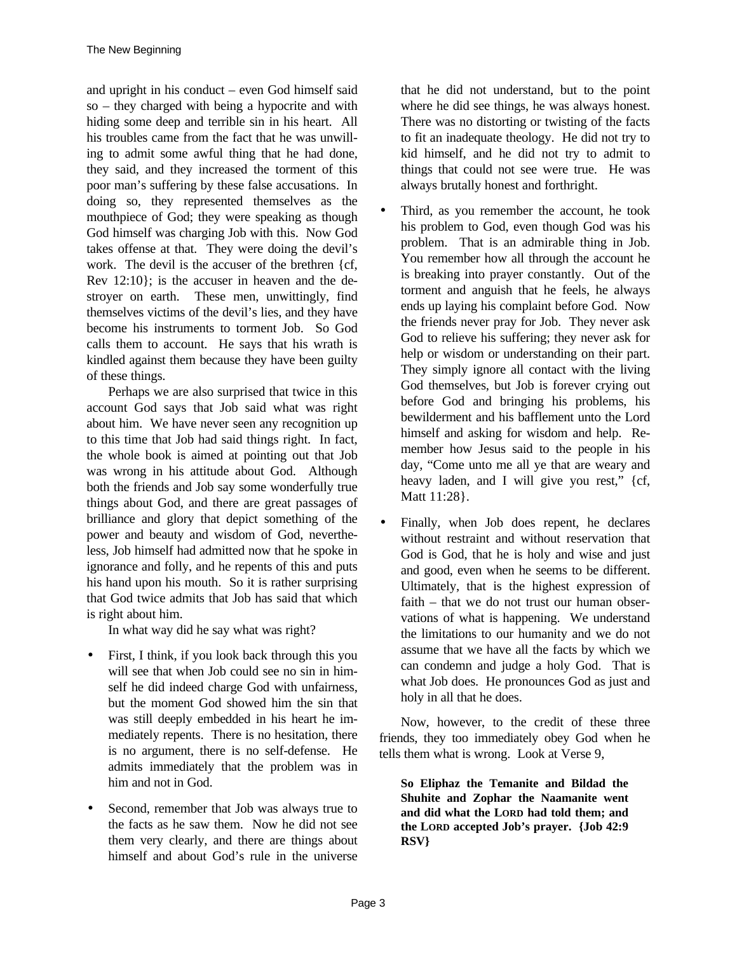and upright in his conduct – even God himself said so – they charged with being a hypocrite and with hiding some deep and terrible sin in his heart. All his troubles came from the fact that he was unwilling to admit some awful thing that he had done, they said, and they increased the torment of this poor man's suffering by these false accusations. In doing so, they represented themselves as the mouthpiece of God; they were speaking as though God himself was charging Job with this. Now God takes offense at that. They were doing the devil's work. The devil is the accuser of the brethren {cf, Rev 12:10}; is the accuser in heaven and the destroyer on earth. These men, unwittingly, find themselves victims of the devil's lies, and they have become his instruments to torment Job. So God calls them to account. He says that his wrath is kindled against them because they have been guilty of these things.

Perhaps we are also surprised that twice in this account God says that Job said what was right about him. We have never seen any recognition up to this time that Job had said things right. In fact, the whole book is aimed at pointing out that Job was wrong in his attitude about God. Although both the friends and Job say some wonderfully true things about God, and there are great passages of brilliance and glory that depict something of the power and beauty and wisdom of God, nevertheless, Job himself had admitted now that he spoke in ignorance and folly, and he repents of this and puts his hand upon his mouth. So it is rather surprising that God twice admits that Job has said that which is right about him.

In what way did he say what was right?

- First, I think, if you look back through this you will see that when Job could see no sin in himself he did indeed charge God with unfairness, but the moment God showed him the sin that was still deeply embedded in his heart he immediately repents. There is no hesitation, there is no argument, there is no self-defense. He admits immediately that the problem was in him and not in God.
- Second, remember that Job was always true to the facts as he saw them. Now he did not see them very clearly, and there are things about himself and about God's rule in the universe

that he did not understand, but to the point where he did see things, he was always honest. There was no distorting or twisting of the facts to fit an inadequate theology. He did not try to kid himself, and he did not try to admit to things that could not see were true. He was always brutally honest and forthright.

- Third, as you remember the account, he took his problem to God, even though God was his problem. That is an admirable thing in Job. You remember how all through the account he is breaking into prayer constantly. Out of the torment and anguish that he feels, he always ends up laying his complaint before God. Now the friends never pray for Job. They never ask God to relieve his suffering; they never ask for help or wisdom or understanding on their part. They simply ignore all contact with the living God themselves, but Job is forever crying out before God and bringing his problems, his bewilderment and his bafflement unto the Lord himself and asking for wisdom and help. Remember how Jesus said to the people in his day, "Come unto me all ye that are weary and heavy laden, and I will give you rest," {cf, Matt 11:28}.
- Finally, when Job does repent, he declares without restraint and without reservation that God is God, that he is holy and wise and just and good, even when he seems to be different. Ultimately, that is the highest expression of faith – that we do not trust our human observations of what is happening. We understand the limitations to our humanity and we do not assume that we have all the facts by which we can condemn and judge a holy God. That is what Job does. He pronounces God as just and holy in all that he does.

Now, however, to the credit of these three friends, they too immediately obey God when he tells them what is wrong. Look at Verse 9,

**So Eliphaz the Temanite and Bildad the Shuhite and Zophar the Naamanite went and did what the LORD had told them; and the LORD accepted Job's prayer. {Job 42:9 RSV}**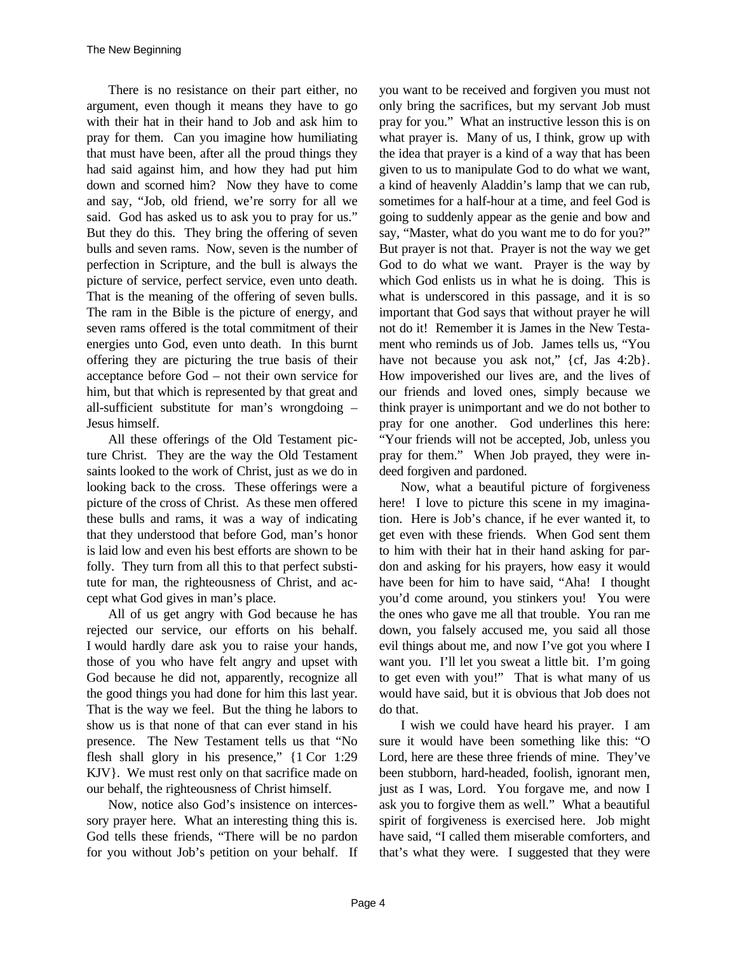There is no resistance on their part either, no argument, even though it means they have to go with their hat in their hand to Job and ask him to pray for them. Can you imagine how humiliating that must have been, after all the proud things they had said against him, and how they had put him down and scorned him? Now they have to come and say, "Job, old friend, we're sorry for all we said. God has asked us to ask you to pray for us." But they do this. They bring the offering of seven bulls and seven rams. Now, seven is the number of perfection in Scripture, and the bull is always the picture of service, perfect service, even unto death. That is the meaning of the offering of seven bulls. The ram in the Bible is the picture of energy, and seven rams offered is the total commitment of their energies unto God, even unto death. In this burnt offering they are picturing the true basis of their acceptance before God – not their own service for him, but that which is represented by that great and all-sufficient substitute for man's wrongdoing – Jesus himself.

All these offerings of the Old Testament picture Christ. They are the way the Old Testament saints looked to the work of Christ, just as we do in looking back to the cross. These offerings were a picture of the cross of Christ. As these men offered these bulls and rams, it was a way of indicating that they understood that before God, man's honor is laid low and even his best efforts are shown to be folly. They turn from all this to that perfect substitute for man, the righteousness of Christ, and accept what God gives in man's place.

All of us get angry with God because he has rejected our service, our efforts on his behalf. I would hardly dare ask you to raise your hands, those of you who have felt angry and upset with God because he did not, apparently, recognize all the good things you had done for him this last year. That is the way we feel. But the thing he labors to show us is that none of that can ever stand in his presence. The New Testament tells us that "No flesh shall glory in his presence," {1 Cor 1:29 KJV}. We must rest only on that sacrifice made on our behalf, the righteousness of Christ himself.

Now, notice also God's insistence on intercessory prayer here. What an interesting thing this is. God tells these friends, "There will be no pardon for you without Job's petition on your behalf. If you want to be received and forgiven you must not only bring the sacrifices, but my servant Job must pray for you." What an instructive lesson this is on what prayer is. Many of us, I think, grow up with the idea that prayer is a kind of a way that has been given to us to manipulate God to do what we want, a kind of heavenly Aladdin's lamp that we can rub, sometimes for a half-hour at a time, and feel God is going to suddenly appear as the genie and bow and say, "Master, what do you want me to do for you?" But prayer is not that. Prayer is not the way we get God to do what we want. Prayer is the way by which God enlists us in what he is doing. This is what is underscored in this passage, and it is so important that God says that without prayer he will not do it! Remember it is James in the New Testament who reminds us of Job. James tells us, "You have not because you ask not," {cf, Jas 4:2b}. How impoverished our lives are, and the lives of our friends and loved ones, simply because we think prayer is unimportant and we do not bother to pray for one another. God underlines this here: "Your friends will not be accepted, Job, unless you pray for them." When Job prayed, they were indeed forgiven and pardoned.

Now, what a beautiful picture of forgiveness here! I love to picture this scene in my imagination. Here is Job's chance, if he ever wanted it, to get even with these friends. When God sent them to him with their hat in their hand asking for pardon and asking for his prayers, how easy it would have been for him to have said, "Aha! I thought you'd come around, you stinkers you! You were the ones who gave me all that trouble. You ran me down, you falsely accused me, you said all those evil things about me, and now I've got you where I want you. I'll let you sweat a little bit. I'm going to get even with you!" That is what many of us would have said, but it is obvious that Job does not do that.

I wish we could have heard his prayer. I am sure it would have been something like this: "O Lord, here are these three friends of mine. They've been stubborn, hard-headed, foolish, ignorant men, just as I was, Lord. You forgave me, and now I ask you to forgive them as well." What a beautiful spirit of forgiveness is exercised here. Job might have said, "I called them miserable comforters, and that's what they were. I suggested that they were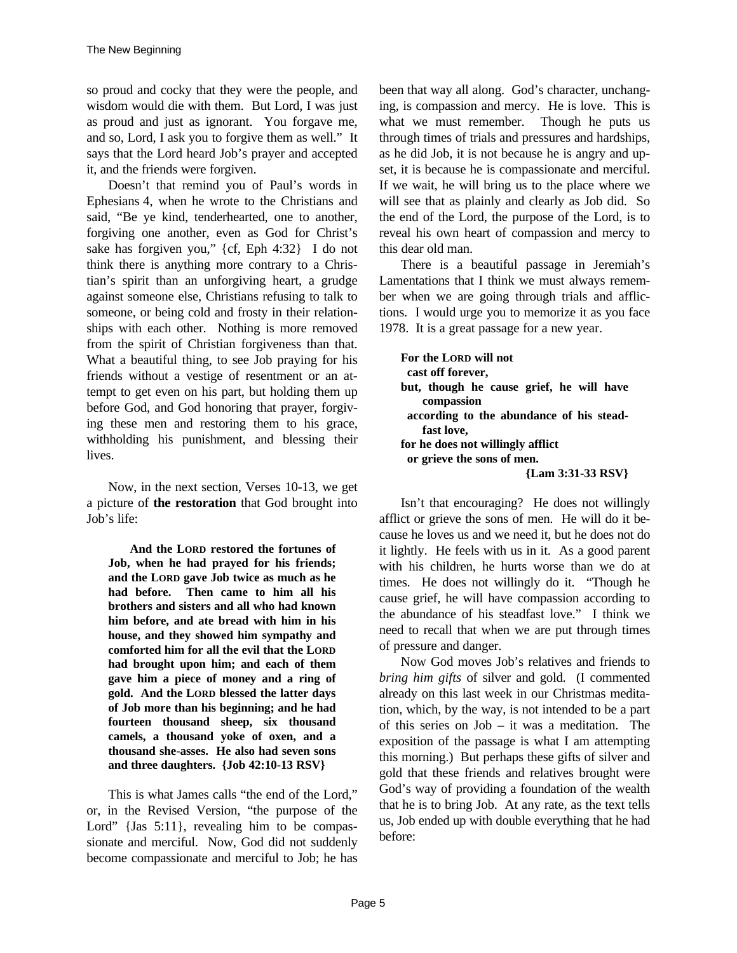so proud and cocky that they were the people, and wisdom would die with them. But Lord, I was just as proud and just as ignorant. You forgave me, and so, Lord, I ask you to forgive them as well." It says that the Lord heard Job's prayer and accepted it, and the friends were forgiven.

Doesn't that remind you of Paul's words in Ephesians 4, when he wrote to the Christians and said, "Be ye kind, tenderhearted, one to another, forgiving one another, even as God for Christ's sake has forgiven you," {cf, Eph 4:32} I do not think there is anything more contrary to a Christian's spirit than an unforgiving heart, a grudge against someone else, Christians refusing to talk to someone, or being cold and frosty in their relationships with each other. Nothing is more removed from the spirit of Christian forgiveness than that. What a beautiful thing, to see Job praying for his friends without a vestige of resentment or an attempt to get even on his part, but holding them up before God, and God honoring that prayer, forgiving these men and restoring them to his grace, withholding his punishment, and blessing their lives.

Now, in the next section, Verses 10-13, we get a picture of **the restoration** that God brought into Job's life:

**And the LORD restored the fortunes of Job, when he had prayed for his friends; and the LORD gave Job twice as much as he had before. Then came to him all his brothers and sisters and all who had known him before, and ate bread with him in his house, and they showed him sympathy and comforted him for all the evil that the LORD had brought upon him; and each of them gave him a piece of money and a ring of gold. And the LORD blessed the latter days of Job more than his beginning; and he had fourteen thousand sheep, six thousand camels, a thousand yoke of oxen, and a thousand she-asses. He also had seven sons and three daughters. {Job 42:10-13 RSV}**

This is what James calls "the end of the Lord," or, in the Revised Version, "the purpose of the Lord" {Jas 5:11}, revealing him to be compassionate and merciful. Now, God did not suddenly become compassionate and merciful to Job; he has been that way all along. God's character, unchanging, is compassion and mercy. He is love. This is what we must remember. Though he puts us through times of trials and pressures and hardships, as he did Job, it is not because he is angry and upset, it is because he is compassionate and merciful. If we wait, he will bring us to the place where we will see that as plainly and clearly as Job did. So the end of the Lord, the purpose of the Lord, is to reveal his own heart of compassion and mercy to this dear old man.

There is a beautiful passage in Jeremiah's Lamentations that I think we must always remember when we are going through trials and afflictions. I would urge you to memorize it as you face 1978. It is a great passage for a new year.

**For the LORD will not cast off forever, but, though he cause grief, he will have compassion according to the abundance of his steadfast love, for he does not willingly afflict or grieve the sons of men. {Lam 3:31-33 RSV}**

Isn't that encouraging? He does not willingly afflict or grieve the sons of men. He will do it because he loves us and we need it, but he does not do it lightly. He feels with us in it. As a good parent with his children, he hurts worse than we do at times. He does not willingly do it. "Though he cause grief, he will have compassion according to the abundance of his steadfast love." I think we need to recall that when we are put through times of pressure and danger.

Now God moves Job's relatives and friends to *bring him gifts* of silver and gold. (I commented already on this last week in our Christmas meditation, which, by the way, is not intended to be a part of this series on Job – it was a meditation. The exposition of the passage is what I am attempting this morning.) But perhaps these gifts of silver and gold that these friends and relatives brought were God's way of providing a foundation of the wealth that he is to bring Job. At any rate, as the text tells us, Job ended up with double everything that he had before: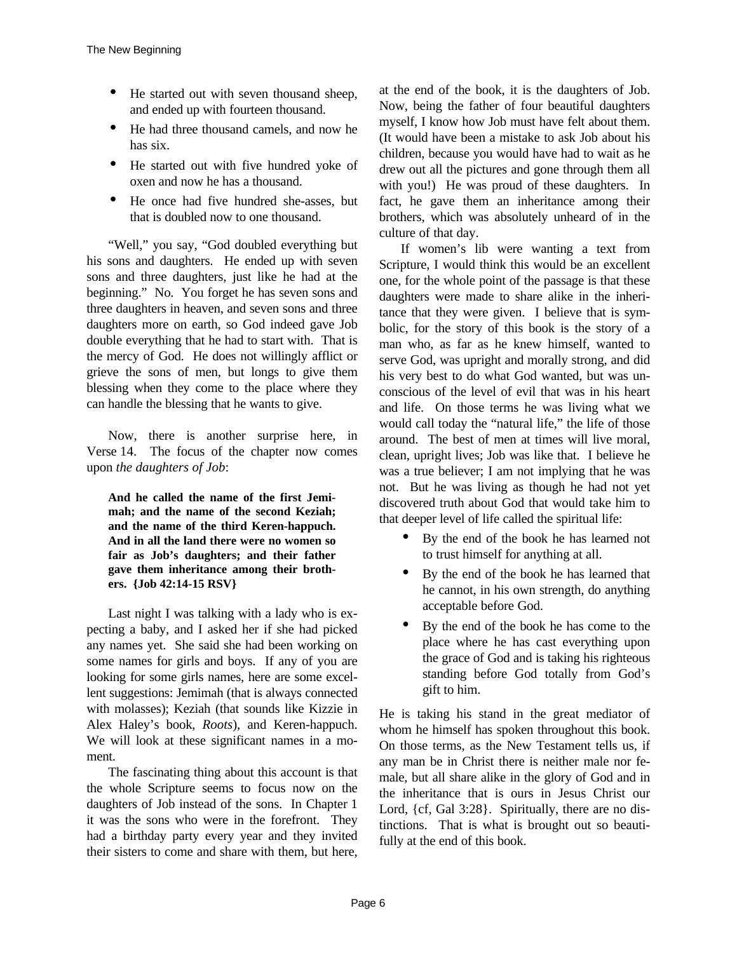- He started out with seven thousand sheep, and ended up with fourteen thousand.
- He had three thousand camels, and now he has six.
- He started out with five hundred yoke of oxen and now he has a thousand.
- He once had five hundred she-asses, but that is doubled now to one thousand.

"Well," you say, "God doubled everything but his sons and daughters. He ended up with seven sons and three daughters, just like he had at the beginning." No. You forget he has seven sons and three daughters in heaven, and seven sons and three daughters more on earth, so God indeed gave Job double everything that he had to start with. That is the mercy of God. He does not willingly afflict or grieve the sons of men, but longs to give them blessing when they come to the place where they can handle the blessing that he wants to give.

Now, there is another surprise here, in Verse 14. The focus of the chapter now comes upon *the daughters of Job*:

**And he called the name of the first Jemimah; and the name of the second Keziah; and the name of the third Keren-happuch. And in all the land there were no women so fair as Job's daughters; and their father gave them inheritance among their brothers. {Job 42:14-15 RSV}**

Last night I was talking with a lady who is expecting a baby, and I asked her if she had picked any names yet. She said she had been working on some names for girls and boys. If any of you are looking for some girls names, here are some excellent suggestions: Jemimah (that is always connected with molasses); Keziah (that sounds like Kizzie in Alex Haley's book, *Roots*), and Keren-happuch. We will look at these significant names in a moment.

The fascinating thing about this account is that the whole Scripture seems to focus now on the daughters of Job instead of the sons. In Chapter 1 it was the sons who were in the forefront. They had a birthday party every year and they invited their sisters to come and share with them, but here,

at the end of the book, it is the daughters of Job. Now, being the father of four beautiful daughters myself, I know how Job must have felt about them. (It would have been a mistake to ask Job about his children, because you would have had to wait as he drew out all the pictures and gone through them all with you!) He was proud of these daughters. In fact, he gave them an inheritance among their brothers, which was absolutely unheard of in the culture of that day.

If women's lib were wanting a text from Scripture, I would think this would be an excellent one, for the whole point of the passage is that these daughters were made to share alike in the inheritance that they were given. I believe that is symbolic, for the story of this book is the story of a man who, as far as he knew himself, wanted to serve God, was upright and morally strong, and did his very best to do what God wanted, but was unconscious of the level of evil that was in his heart and life. On those terms he was living what we would call today the "natural life," the life of those around. The best of men at times will live moral, clean, upright lives; Job was like that. I believe he was a true believer; I am not implying that he was not. But he was living as though he had not yet discovered truth about God that would take him to that deeper level of life called the spiritual life:

- By the end of the book he has learned not to trust himself for anything at all.
- By the end of the book he has learned that he cannot, in his own strength, do anything acceptable before God.
- By the end of the book he has come to the place where he has cast everything upon the grace of God and is taking his righteous standing before God totally from God's gift to him.

He is taking his stand in the great mediator of whom he himself has spoken throughout this book. On those terms, as the New Testament tells us, if any man be in Christ there is neither male nor female, but all share alike in the glory of God and in the inheritance that is ours in Jesus Christ our Lord, {cf, Gal 3:28}. Spiritually, there are no distinctions. That is what is brought out so beautifully at the end of this book.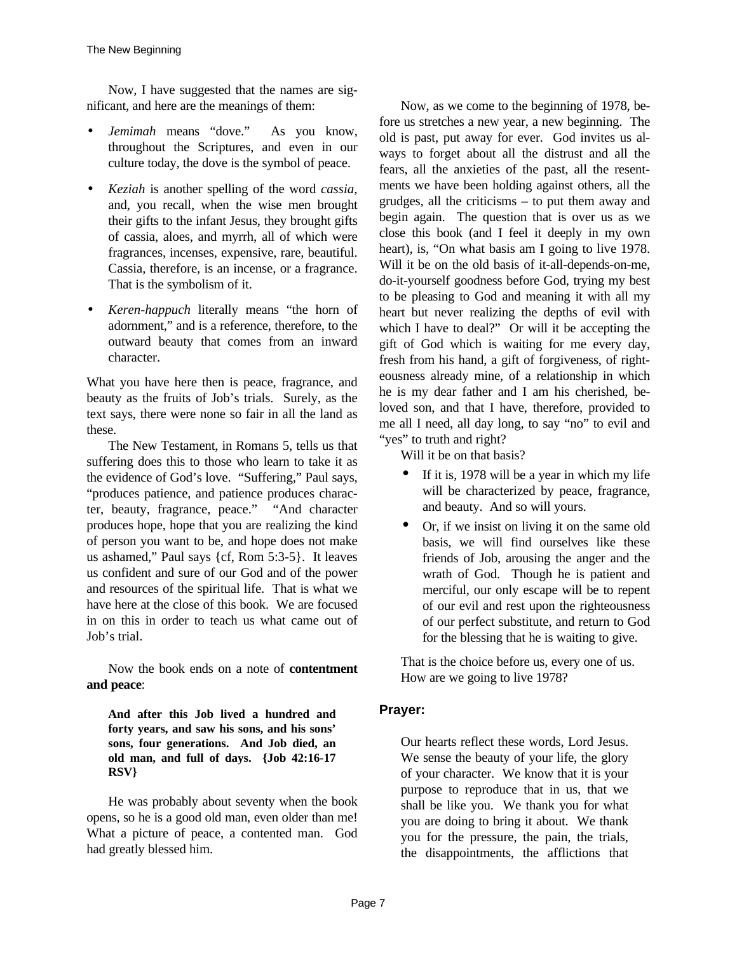Now, I have suggested that the names are significant, and here are the meanings of them:

- *Jemimah* means "dove." As you know, throughout the Scriptures, and even in our culture today, the dove is the symbol of peace.
- *Keziah* is another spelling of the word *cassia*, and, you recall, when the wise men brought their gifts to the infant Jesus, they brought gifts of cassia, aloes, and myrrh, all of which were fragrances, incenses, expensive, rare, beautiful. Cassia, therefore, is an incense, or a fragrance. That is the symbolism of it.
- *Keren-happuch* literally means "the horn of adornment," and is a reference, therefore, to the outward beauty that comes from an inward character.

What you have here then is peace, fragrance, and beauty as the fruits of Job's trials. Surely, as the text says, there were none so fair in all the land as these.

The New Testament, in Romans 5, tells us that suffering does this to those who learn to take it as the evidence of God's love. "Suffering," Paul says, "produces patience, and patience produces character, beauty, fragrance, peace." "And character produces hope, hope that you are realizing the kind of person you want to be, and hope does not make us ashamed," Paul says {cf, Rom 5:3-5}. It leaves us confident and sure of our God and of the power and resources of the spiritual life. That is what we have here at the close of this book. We are focused in on this in order to teach us what came out of Job's trial.

Now the book ends on a note of **contentment and peace**:

## **And after this Job lived a hundred and forty years, and saw his sons, and his sons' sons, four generations. And Job died, an old man, and full of days. {Job 42:16-17 RSV}**

He was probably about seventy when the book opens, so he is a good old man, even older than me! What a picture of peace, a contented man. God had greatly blessed him.

Now, as we come to the beginning of 1978, before us stretches a new year, a new beginning. The old is past, put away for ever. God invites us always to forget about all the distrust and all the fears, all the anxieties of the past, all the resentments we have been holding against others, all the grudges, all the criticisms – to put them away and begin again. The question that is over us as we close this book (and I feel it deeply in my own heart), is, "On what basis am I going to live 1978. Will it be on the old basis of it-all-depends-on-me, do-it-yourself goodness before God, trying my best to be pleasing to God and meaning it with all my heart but never realizing the depths of evil with which I have to deal?" Or will it be accepting the gift of God which is waiting for me every day, fresh from his hand, a gift of forgiveness, of righteousness already mine, of a relationship in which he is my dear father and I am his cherished, beloved son, and that I have, therefore, provided to me all I need, all day long, to say "no" to evil and "yes" to truth and right?

Will it be on that basis?

- If it is, 1978 will be a year in which my life will be characterized by peace, fragrance, and beauty. And so will yours.
- Or, if we insist on living it on the same old basis, we will find ourselves like these friends of Job, arousing the anger and the wrath of God. Though he is patient and merciful, our only escape will be to repent of our evil and rest upon the righteousness of our perfect substitute, and return to God for the blessing that he is waiting to give.

That is the choice before us, every one of us. How are we going to live 1978?

## **Prayer:**

Our hearts reflect these words, Lord Jesus. We sense the beauty of your life, the glory of your character. We know that it is your purpose to reproduce that in us, that we shall be like you. We thank you for what you are doing to bring it about. We thank you for the pressure, the pain, the trials, the disappointments, the afflictions that